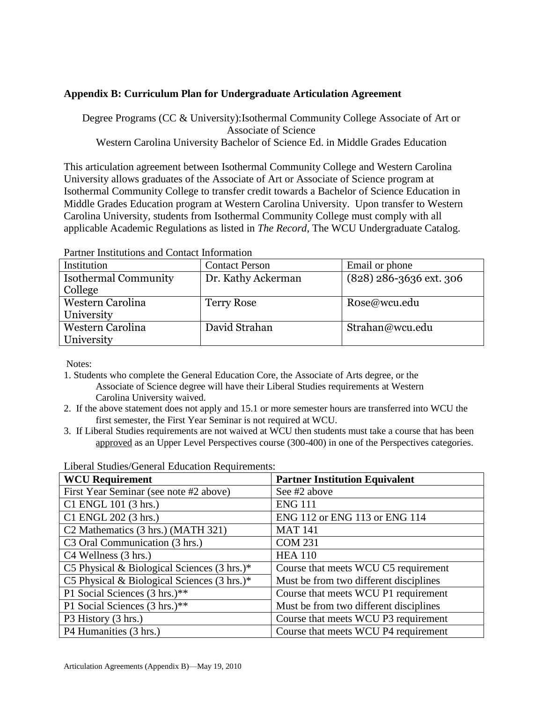## **Appendix B: Curriculum Plan for Undergraduate Articulation Agreement**

Degree Programs (CC & University):Isothermal Community College Associate of Art or Associate of Science Western Carolina University Bachelor of Science Ed. in Middle Grades Education

This articulation agreement between Isothermal Community College and Western Carolina University allows graduates of the Associate of Art or Associate of Science program at Isothermal Community College to transfer credit towards a Bachelor of Science Education in Middle Grades Education program at Western Carolina University. Upon transfer to Western Carolina University, students from Isothermal Community College must comply with all applicable Academic Regulations as listed in *The Record,* The WCU Undergraduate Catalog.

| T di thoi Thothauthoid and Collitate Millon Mathol |                       |                           |  |  |
|----------------------------------------------------|-----------------------|---------------------------|--|--|
| Institution                                        | <b>Contact Person</b> | Email or phone            |  |  |
| <b>Isothermal Community</b>                        | Dr. Kathy Ackerman    | $(828)$ 286-3636 ext. 306 |  |  |
| College                                            |                       |                           |  |  |
| Western Carolina                                   | <b>Terry Rose</b>     | Rose@wcu.edu              |  |  |
| University                                         |                       |                           |  |  |
| Western Carolina                                   | David Strahan         | Strahan@wcu.edu           |  |  |
| University                                         |                       |                           |  |  |

Partner Institutions and Contact Information

Notes:

- 1. Students who complete the General Education Core, the Associate of Arts degree, or the Associate of Science degree will have their Liberal Studies requirements at Western Carolina University waived.
- 2. If the above statement does not apply and 15.1 or more semester hours are transferred into WCU the first semester, the First Year Seminar is not required at WCU.
- 3. If Liberal Studies requirements are not waived at WCU then students must take a course that has been approved as an Upper Level Perspectives course (300-400) in one of the Perspectives categories.

| <b>WCU Requirement</b>                                 | <b>Partner Institution Equivalent</b>  |
|--------------------------------------------------------|----------------------------------------|
| First Year Seminar (see note #2 above)                 | See #2 above                           |
| C1 ENGL 101 (3 hrs.)                                   | <b>ENG 111</b>                         |
| C1 ENGL 202 (3 hrs.)                                   | ENG 112 or ENG 113 or ENG 114          |
| C <sub>2</sub> Mathematics (3 hrs.) (MATH 321)         | <b>MAT 141</b>                         |
| C <sub>3</sub> Oral Communication (3 hrs.)             | <b>COM 231</b>                         |
| C4 Wellness (3 hrs.)                                   | <b>HEA 110</b>                         |
| C5 Physical & Biological Sciences $(3 \text{ hrs.})^*$ | Course that meets WCU C5 requirement   |
| C5 Physical & Biological Sciences $(3 \text{ hrs.})^*$ | Must be from two different disciplines |
| P1 Social Sciences (3 hrs.)**                          | Course that meets WCU P1 requirement   |
| P1 Social Sciences (3 hrs.)**                          | Must be from two different disciplines |
| P3 History (3 hrs.)                                    | Course that meets WCU P3 requirement   |
| P4 Humanities (3 hrs.)                                 | Course that meets WCU P4 requirement   |

Liberal Studies/General Education Requirements: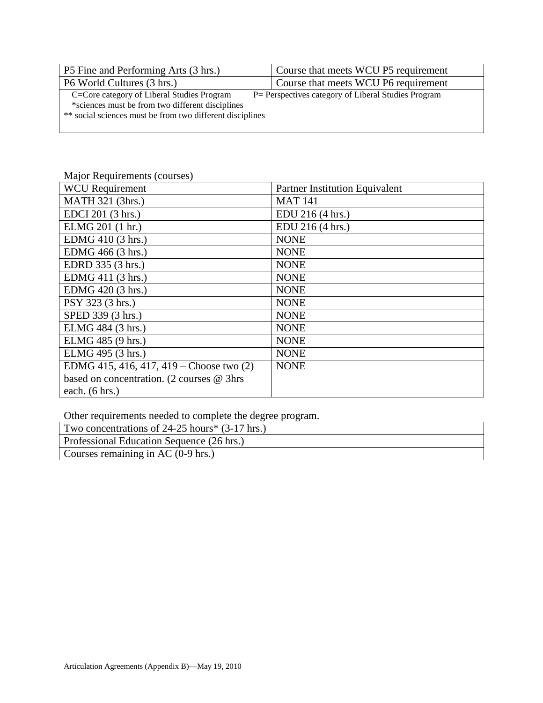| P5 Fine and Performing Arts (3 hrs.)                      | Course that meets WCU P5 requirement                 |
|-----------------------------------------------------------|------------------------------------------------------|
| P6 World Cultures (3 hrs.)                                | Course that meets WCU P6 requirement                 |
| C=Core category of Liberal Studies Program                | P = Perspectives category of Liberal Studies Program |
| *sciences must be from two different disciplines          |                                                      |
| ** social sciences must be from two different disciplines |                                                      |
|                                                           |                                                      |

## Major Requirements (courses)

| <b>WCU</b> Requirement                    | <b>Partner Institution Equivalent</b> |
|-------------------------------------------|---------------------------------------|
| MATH 321 (3hrs.)                          | <b>MAT 141</b>                        |
| EDCI 201 (3 hrs.)                         | EDU 216 (4 hrs.)                      |
| ELMG 201 (1 hr.)                          | EDU 216 (4 hrs.)                      |
| EDMG 410 (3 hrs.)                         | <b>NONE</b>                           |
| EDMG 466 (3 hrs.)                         | <b>NONE</b>                           |
| EDRD 335 (3 hrs.)                         | <b>NONE</b>                           |
| EDMG 411 (3 hrs.)                         | <b>NONE</b>                           |
| EDMG 420 (3 hrs.)                         | <b>NONE</b>                           |
| PSY 323 (3 hrs.)                          | <b>NONE</b>                           |
| SPED 339 (3 hrs.)                         | <b>NONE</b>                           |
| ELMG 484 (3 hrs.)                         | <b>NONE</b>                           |
| ELMG 485 (9 hrs.)                         | <b>NONE</b>                           |
| ELMG 495 (3 hrs.)                         | <b>NONE</b>                           |
| EDMG 415, 416, 417, 419 – Choose two (2)  | <b>NONE</b>                           |
| based on concentration. (2 courses @ 3hrs |                                       |
| each. $(6 hrs.)$                          |                                       |

Other requirements needed to complete the degree program.

| Two concentrations of $24-25$ hours* $(3-17$ hrs.) |  |
|----------------------------------------------------|--|
| Professional Education Sequence (26 hrs.)          |  |
| Courses remaining in AC (0-9 hrs.)                 |  |